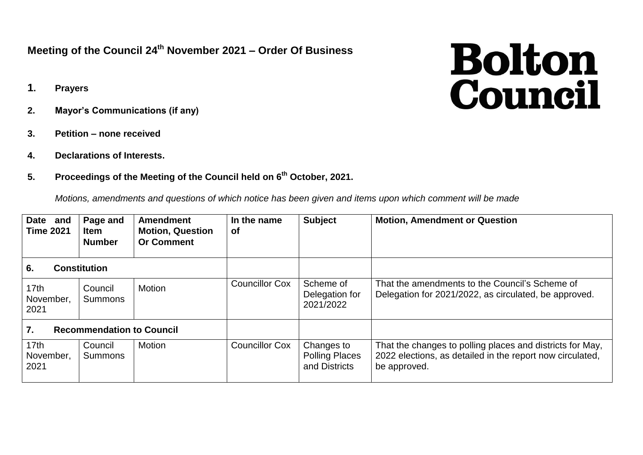## **Meeting of the Council 24th November 2021 – Order Of Business**

- **1. Prayers**
- **2. Mayor's Communications (if any)**
- **3. Petition – none received**
- **4. Declarations of Interests.**
- **5. Proceedings of the Meeting of the Council held on 6 th October, 2021.**

*Motions, amendments and questions of which notice has been given and items upon which comment will be made*

| Date and<br><b>Time 2021</b>                         | Page and<br><b>Item</b><br><b>Number</b> | <b>Amendment</b><br><b>Motion, Question</b><br><b>Or Comment</b> | In the name<br><b>of</b> | <b>Subject</b>                                       | <b>Motion, Amendment or Question</b>                                                                                                   |
|------------------------------------------------------|------------------------------------------|------------------------------------------------------------------|--------------------------|------------------------------------------------------|----------------------------------------------------------------------------------------------------------------------------------------|
| 6.<br><b>Constitution</b>                            |                                          |                                                                  |                          |                                                      |                                                                                                                                        |
| 17th<br>November,<br>2021                            | Council<br>Summons                       | <b>Motion</b>                                                    | <b>Councillor Cox</b>    | Scheme of<br>Delegation for<br>2021/2022             | That the amendments to the Council's Scheme of<br>Delegation for 2021/2022, as circulated, be approved.                                |
| $\overline{7}$ .<br><b>Recommendation to Council</b> |                                          |                                                                  |                          |                                                      |                                                                                                                                        |
| 17 <sub>th</sub><br>November,<br>2021                | Council<br><b>Summons</b>                | Motion                                                           | <b>Councillor Cox</b>    | Changes to<br><b>Polling Places</b><br>and Districts | That the changes to polling places and districts for May,<br>2022 elections, as detailed in the report now circulated,<br>be approved. |

## **Bolton**<br>Council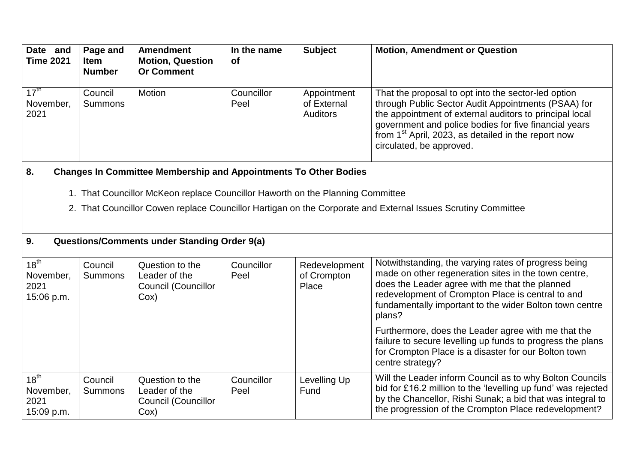| Date and<br><b>Time 2021</b>                 | Page and<br><b>Item</b><br><b>Number</b> | <b>Amendment</b><br><b>Motion, Question</b><br><b>Or Comment</b>               | In the name<br><b>of</b> | <b>Subject</b>                                | <b>Motion, Amendment or Question</b>                                                                                                                                                                                                                                                                                |
|----------------------------------------------|------------------------------------------|--------------------------------------------------------------------------------|--------------------------|-----------------------------------------------|---------------------------------------------------------------------------------------------------------------------------------------------------------------------------------------------------------------------------------------------------------------------------------------------------------------------|
| $17^{\text{th}}$<br>November,<br>2021        | Council<br><b>Summons</b>                | Motion                                                                         | Councillor<br>Peel       | Appointment<br>of External<br><b>Auditors</b> | That the proposal to opt into the sector-led option<br>through Public Sector Audit Appointments (PSAA) for<br>the appointment of external auditors to principal local<br>government and police bodies for five financial years<br>from $1st$ April, 2023, as detailed in the report now<br>circulated, be approved. |
| 8.                                           |                                          | <b>Changes In Committee Membership and Appointments To Other Bodies</b>        |                          |                                               |                                                                                                                                                                                                                                                                                                                     |
|                                              |                                          | 1. That Councillor McKeon replace Councillor Haworth on the Planning Committee |                          |                                               |                                                                                                                                                                                                                                                                                                                     |
|                                              |                                          |                                                                                |                          |                                               | 2. That Councillor Cowen replace Councillor Hartigan on the Corporate and External Issues Scrutiny Committee                                                                                                                                                                                                        |
| 9.                                           |                                          | <b>Questions/Comments under Standing Order 9(a)</b>                            |                          |                                               |                                                                                                                                                                                                                                                                                                                     |
|                                              |                                          |                                                                                |                          |                                               |                                                                                                                                                                                                                                                                                                                     |
| $18^{th}$<br>November,<br>2021<br>15:06 p.m. | Council<br>Summons                       | Question to the<br>Leader of the<br>Council (Councillor<br>Cox)                | Councillor<br>Peel       | Redevelopment<br>of Crompton<br>Place         | Notwithstanding, the varying rates of progress being<br>made on other regeneration sites in the town centre,<br>does the Leader agree with me that the planned<br>redevelopment of Crompton Place is central to and<br>fundamentally important to the wider Bolton town centre<br>plans?                            |
|                                              |                                          |                                                                                |                          |                                               | Furthermore, does the Leader agree with me that the<br>failure to secure levelling up funds to progress the plans<br>for Crompton Place is a disaster for our Bolton town<br>centre strategy?                                                                                                                       |
| $18^{th}$<br>November,<br>2021<br>15:09 p.m. | Council<br><b>Summons</b>                | Question to the<br>Leader of the<br>Council (Councillor<br>Cox)                | Councillor<br>Peel       | Levelling Up<br>Fund                          | Will the Leader inform Council as to why Bolton Councils<br>bid for £16.2 million to the 'levelling up fund' was rejected<br>by the Chancellor, Rishi Sunak; a bid that was integral to<br>the progression of the Crompton Place redevelopment?                                                                     |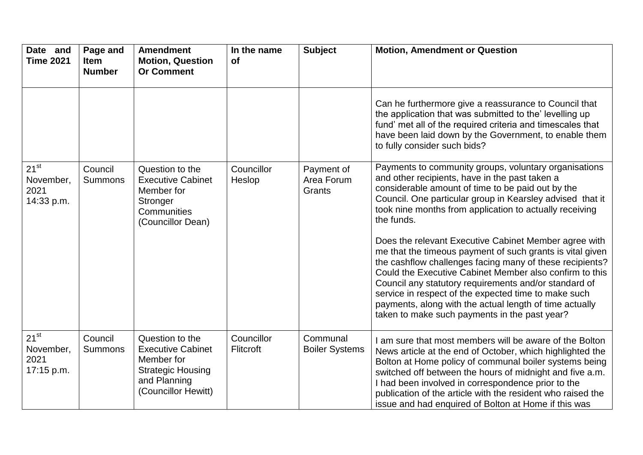| Date and<br><b>Time 2021</b>                 | Page and<br><b>Item</b><br><b>Number</b> | <b>Amendment</b><br><b>Motion, Question</b><br><b>Or Comment</b>                                                             | In the name<br><b>of</b> | <b>Subject</b>                     | <b>Motion, Amendment or Question</b>                                                                                                                                                                                                                                                                                                                                                                                                                                   |
|----------------------------------------------|------------------------------------------|------------------------------------------------------------------------------------------------------------------------------|--------------------------|------------------------------------|------------------------------------------------------------------------------------------------------------------------------------------------------------------------------------------------------------------------------------------------------------------------------------------------------------------------------------------------------------------------------------------------------------------------------------------------------------------------|
|                                              |                                          |                                                                                                                              |                          |                                    | Can he furthermore give a reassurance to Council that<br>the application that was submitted to the' levelling up<br>fund' met all of the required criteria and timescales that<br>have been laid down by the Government, to enable them<br>to fully consider such bids?                                                                                                                                                                                                |
| $21^{st}$<br>November,<br>2021<br>14:33 p.m. | Council<br><b>Summons</b>                | Question to the<br><b>Executive Cabinet</b><br>Member for<br>Stronger<br>Communities<br>(Councillor Dean)                    | Councillor<br>Heslop     | Payment of<br>Area Forum<br>Grants | Payments to community groups, voluntary organisations<br>and other recipients, have in the past taken a<br>considerable amount of time to be paid out by the<br>Council. One particular group in Kearsley advised that it<br>took nine months from application to actually receiving<br>the funds.                                                                                                                                                                     |
|                                              |                                          |                                                                                                                              |                          |                                    | Does the relevant Executive Cabinet Member agree with<br>me that the timeous payment of such grants is vital given<br>the cashflow challenges facing many of these recipients?<br>Could the Executive Cabinet Member also confirm to this<br>Council any statutory requirements and/or standard of<br>service in respect of the expected time to make such<br>payments, along with the actual length of time actually<br>taken to make such payments in the past year? |
| $21^{st}$<br>November,<br>2021<br>17:15 p.m. | Council<br><b>Summons</b>                | Question to the<br><b>Executive Cabinet</b><br>Member for<br><b>Strategic Housing</b><br>and Planning<br>(Councillor Hewitt) | Councillor<br>Flitcroft  | Communal<br><b>Boiler Systems</b>  | I am sure that most members will be aware of the Bolton<br>News article at the end of October, which highlighted the<br>Bolton at Home policy of communal boiler systems being<br>switched off between the hours of midnight and five a.m.<br>I had been involved in correspondence prior to the<br>publication of the article with the resident who raised the<br>issue and had enquired of Bolton at Home if this was                                                |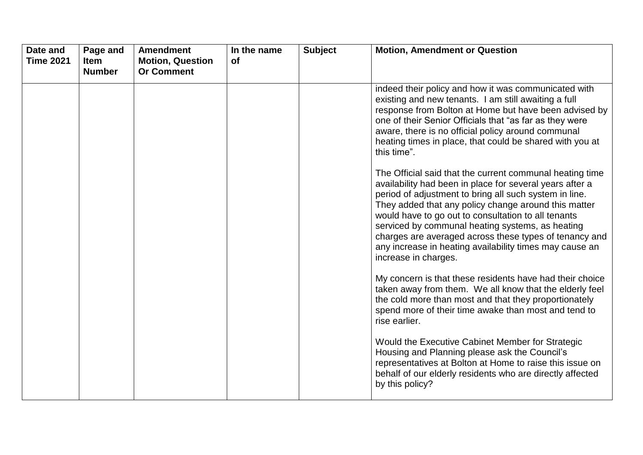| Date and<br><b>Time 2021</b> | Page and<br><b>Item</b><br><b>Number</b> | <b>Amendment</b><br><b>Motion, Question</b><br><b>Or Comment</b> | In the name<br><b>of</b> | <b>Subject</b> | <b>Motion, Amendment or Question</b>                                                                                                                                                                                                                                                                                                                                                                                                                                                           |
|------------------------------|------------------------------------------|------------------------------------------------------------------|--------------------------|----------------|------------------------------------------------------------------------------------------------------------------------------------------------------------------------------------------------------------------------------------------------------------------------------------------------------------------------------------------------------------------------------------------------------------------------------------------------------------------------------------------------|
|                              |                                          |                                                                  |                          |                | indeed their policy and how it was communicated with<br>existing and new tenants. I am still awaiting a full<br>response from Bolton at Home but have been advised by<br>one of their Senior Officials that "as far as they were<br>aware, there is no official policy around communal<br>heating times in place, that could be shared with you at<br>this time".                                                                                                                              |
|                              |                                          |                                                                  |                          |                | The Official said that the current communal heating time<br>availability had been in place for several years after a<br>period of adjustment to bring all such system in line.<br>They added that any policy change around this matter<br>would have to go out to consultation to all tenants<br>serviced by communal heating systems, as heating<br>charges are averaged across these types of tenancy and<br>any increase in heating availability times may cause an<br>increase in charges. |
|                              |                                          |                                                                  |                          |                | My concern is that these residents have had their choice<br>taken away from them. We all know that the elderly feel<br>the cold more than most and that they proportionately<br>spend more of their time awake than most and tend to<br>rise earlier.                                                                                                                                                                                                                                          |
|                              |                                          |                                                                  |                          |                | Would the Executive Cabinet Member for Strategic<br>Housing and Planning please ask the Council's<br>representatives at Bolton at Home to raise this issue on<br>behalf of our elderly residents who are directly affected<br>by this policy?                                                                                                                                                                                                                                                  |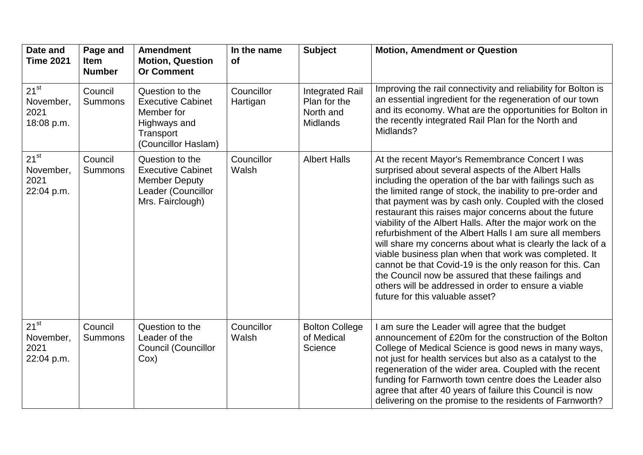| Date and<br><b>Time 2021</b>                 | Page and<br><b>Item</b><br><b>Number</b> | <b>Amendment</b><br><b>Motion, Question</b><br><b>Or Comment</b>                                              | In the name<br><b>of</b> | <b>Subject</b>                                                  | <b>Motion, Amendment or Question</b>                                                                                                                                                                                                                                                                                                                                                                                                                                                                                                                                                                                                                                                                                                                                                                              |
|----------------------------------------------|------------------------------------------|---------------------------------------------------------------------------------------------------------------|--------------------------|-----------------------------------------------------------------|-------------------------------------------------------------------------------------------------------------------------------------------------------------------------------------------------------------------------------------------------------------------------------------------------------------------------------------------------------------------------------------------------------------------------------------------------------------------------------------------------------------------------------------------------------------------------------------------------------------------------------------------------------------------------------------------------------------------------------------------------------------------------------------------------------------------|
| $21^{st}$<br>November,<br>2021<br>18:08 p.m. | Council<br><b>Summons</b>                | Question to the<br><b>Executive Cabinet</b><br>Member for<br>Highways and<br>Transport<br>(Councillor Haslam) | Councillor<br>Hartigan   | <b>Integrated Rail</b><br>Plan for the<br>North and<br>Midlands | Improving the rail connectivity and reliability for Bolton is<br>an essential ingredient for the regeneration of our town<br>and its economy. What are the opportunities for Bolton in<br>the recently integrated Rail Plan for the North and<br>Midlands?                                                                                                                                                                                                                                                                                                                                                                                                                                                                                                                                                        |
| $21^{st}$<br>November,<br>2021<br>22:04 p.m. | Council<br><b>Summons</b>                | Question to the<br><b>Executive Cabinet</b><br><b>Member Deputy</b><br>Leader (Councillor<br>Mrs. Fairclough) | Councillor<br>Walsh      | <b>Albert Halls</b>                                             | At the recent Mayor's Remembrance Concert I was<br>surprised about several aspects of the Albert Halls<br>including the operation of the bar with failings such as<br>the limited range of stock, the inability to pre-order and<br>that payment was by cash only. Coupled with the closed<br>restaurant this raises major concerns about the future<br>viability of the Albert Halls. After the major work on the<br>refurbishment of the Albert Halls I am sure all members<br>will share my concerns about what is clearly the lack of a<br>viable business plan when that work was completed. It<br>cannot be that Covid-19 is the only reason for this. Can<br>the Council now be assured that these failings and<br>others will be addressed in order to ensure a viable<br>future for this valuable asset? |
| $21^{st}$<br>November,<br>2021<br>22:04 p.m. | Council<br><b>Summons</b>                | Question to the<br>Leader of the<br><b>Council (Councillor</b><br>Cox)                                        | Councillor<br>Walsh      | <b>Bolton College</b><br>of Medical<br>Science                  | I am sure the Leader will agree that the budget<br>announcement of £20m for the construction of the Bolton<br>College of Medical Science is good news in many ways,<br>not just for health services but also as a catalyst to the<br>regeneration of the wider area. Coupled with the recent<br>funding for Farnworth town centre does the Leader also<br>agree that after 40 years of failure this Council is now<br>delivering on the promise to the residents of Farnworth?                                                                                                                                                                                                                                                                                                                                    |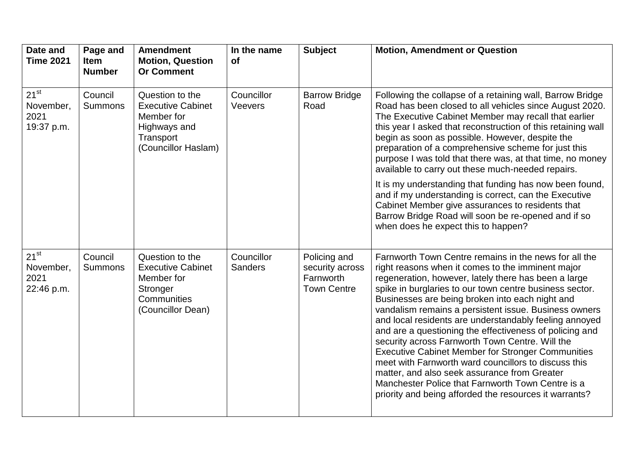| Date and<br><b>Time 2021</b>                 | Page and<br><b>Item</b><br><b>Number</b> | <b>Amendment</b><br><b>Motion, Question</b><br><b>Or Comment</b>                                              | In the name<br><b>of</b>     | <b>Subject</b>                                                     | <b>Motion, Amendment or Question</b>                                                                                                                                                                                                                                                                                                                                                                                                                                                                                                                                                                                                                                                                                                                                                                 |
|----------------------------------------------|------------------------------------------|---------------------------------------------------------------------------------------------------------------|------------------------------|--------------------------------------------------------------------|------------------------------------------------------------------------------------------------------------------------------------------------------------------------------------------------------------------------------------------------------------------------------------------------------------------------------------------------------------------------------------------------------------------------------------------------------------------------------------------------------------------------------------------------------------------------------------------------------------------------------------------------------------------------------------------------------------------------------------------------------------------------------------------------------|
| $21^{st}$<br>November,<br>2021<br>19:37 p.m. | Council<br><b>Summons</b>                | Question to the<br><b>Executive Cabinet</b><br>Member for<br>Highways and<br>Transport<br>(Councillor Haslam) | Councillor<br>Veevers        | <b>Barrow Bridge</b><br>Road                                       | Following the collapse of a retaining wall, Barrow Bridge<br>Road has been closed to all vehicles since August 2020.<br>The Executive Cabinet Member may recall that earlier<br>this year I asked that reconstruction of this retaining wall<br>begin as soon as possible. However, despite the<br>preparation of a comprehensive scheme for just this<br>purpose I was told that there was, at that time, no money<br>available to carry out these much-needed repairs.                                                                                                                                                                                                                                                                                                                             |
|                                              |                                          |                                                                                                               |                              |                                                                    | It is my understanding that funding has now been found,<br>and if my understanding is correct, can the Executive<br>Cabinet Member give assurances to residents that<br>Barrow Bridge Road will soon be re-opened and if so<br>when does he expect this to happen?                                                                                                                                                                                                                                                                                                                                                                                                                                                                                                                                   |
| $21^{st}$<br>November,<br>2021<br>22:46 p.m. | Council<br><b>Summons</b>                | Question to the<br><b>Executive Cabinet</b><br>Member for<br>Stronger<br>Communities<br>(Councillor Dean)     | Councillor<br><b>Sanders</b> | Policing and<br>security across<br>Farnworth<br><b>Town Centre</b> | Farnworth Town Centre remains in the news for all the<br>right reasons when it comes to the imminent major<br>regeneration, however, lately there has been a large<br>spike in burglaries to our town centre business sector.<br>Businesses are being broken into each night and<br>vandalism remains a persistent issue. Business owners<br>and local residents are understandably feeling annoyed<br>and are a questioning the effectiveness of policing and<br>security across Farnworth Town Centre. Will the<br><b>Executive Cabinet Member for Stronger Communities</b><br>meet with Farnworth ward councillors to discuss this<br>matter, and also seek assurance from Greater<br>Manchester Police that Farnworth Town Centre is a<br>priority and being afforded the resources it warrants? |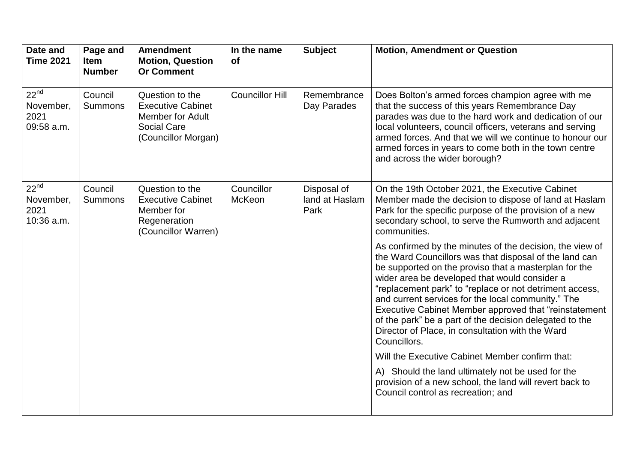| Date and<br><b>Time 2021</b>                 | Page and<br><b>Item</b><br><b>Number</b> | <b>Amendment</b><br><b>Motion, Question</b><br><b>Or Comment</b>                                                    | In the name<br><b>of</b> | <b>Subject</b>                        | <b>Motion, Amendment or Question</b>                                                                                                                                                                                                                                                                                                                                                                                                                                                                                                   |
|----------------------------------------------|------------------------------------------|---------------------------------------------------------------------------------------------------------------------|--------------------------|---------------------------------------|----------------------------------------------------------------------------------------------------------------------------------------------------------------------------------------------------------------------------------------------------------------------------------------------------------------------------------------------------------------------------------------------------------------------------------------------------------------------------------------------------------------------------------------|
| $22^{nd}$<br>November,<br>2021<br>09:58 a.m. | Council<br><b>Summons</b>                | Question to the<br><b>Executive Cabinet</b><br><b>Member for Adult</b><br><b>Social Care</b><br>(Councillor Morgan) | <b>Councillor Hill</b>   | Remembrance<br>Day Parades            | Does Bolton's armed forces champion agree with me<br>that the success of this years Remembrance Day<br>parades was due to the hard work and dedication of our<br>local volunteers, council officers, veterans and serving<br>armed forces. And that we will we continue to honour our<br>armed forces in years to come both in the town centre<br>and across the wider borough?                                                                                                                                                        |
| $22^{nd}$<br>November,<br>2021<br>10:36 a.m. | Council<br><b>Summons</b>                | Question to the<br><b>Executive Cabinet</b><br>Member for<br>Regeneration<br>(Councillor Warren)                    | Councillor<br>McKeon     | Disposal of<br>land at Haslam<br>Park | On the 19th October 2021, the Executive Cabinet<br>Member made the decision to dispose of land at Haslam<br>Park for the specific purpose of the provision of a new<br>secondary school, to serve the Rumworth and adjacent<br>communities.                                                                                                                                                                                                                                                                                            |
|                                              |                                          |                                                                                                                     |                          |                                       | As confirmed by the minutes of the decision, the view of<br>the Ward Councillors was that disposal of the land can<br>be supported on the proviso that a masterplan for the<br>wider area be developed that would consider a<br>"replacement park" to "replace or not detriment access,<br>and current services for the local community." The<br>Executive Cabinet Member approved that "reinstatement"<br>of the park" be a part of the decision delegated to the<br>Director of Place, in consultation with the Ward<br>Councillors. |
|                                              |                                          |                                                                                                                     |                          |                                       | Will the Executive Cabinet Member confirm that:                                                                                                                                                                                                                                                                                                                                                                                                                                                                                        |
|                                              |                                          |                                                                                                                     |                          |                                       | A) Should the land ultimately not be used for the<br>provision of a new school, the land will revert back to<br>Council control as recreation; and                                                                                                                                                                                                                                                                                                                                                                                     |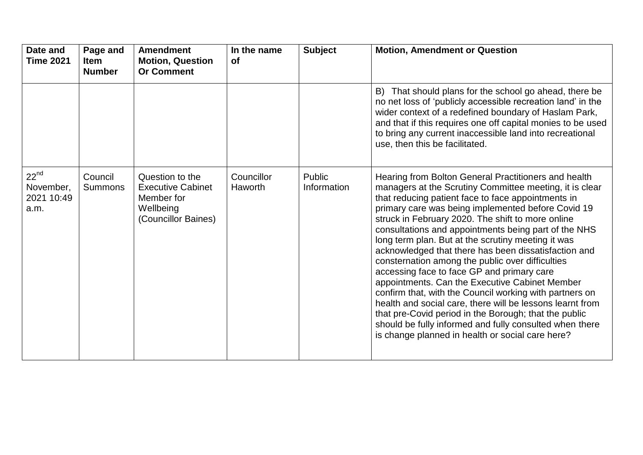| Date and<br><b>Time 2021</b>                 | Page and<br><b>Item</b><br><b>Number</b> | <b>Amendment</b><br><b>Motion, Question</b><br><b>Or Comment</b>                              | In the name<br><b>of</b> | <b>Subject</b>        | <b>Motion, Amendment or Question</b>                                                                                                                                                                                                                                                                                                                                                                                                                                                                                                                                                                                                                                                                                                                                                                                                                                                                       |
|----------------------------------------------|------------------------------------------|-----------------------------------------------------------------------------------------------|--------------------------|-----------------------|------------------------------------------------------------------------------------------------------------------------------------------------------------------------------------------------------------------------------------------------------------------------------------------------------------------------------------------------------------------------------------------------------------------------------------------------------------------------------------------------------------------------------------------------------------------------------------------------------------------------------------------------------------------------------------------------------------------------------------------------------------------------------------------------------------------------------------------------------------------------------------------------------------|
|                                              |                                          |                                                                                               |                          |                       | B) That should plans for the school go ahead, there be<br>no net loss of 'publicly accessible recreation land' in the<br>wider context of a redefined boundary of Haslam Park,<br>and that if this requires one off capital monies to be used<br>to bring any current inaccessible land into recreational<br>use, then this be facilitated.                                                                                                                                                                                                                                                                                                                                                                                                                                                                                                                                                                |
| $22^{nd}$<br>November,<br>2021 10:49<br>a.m. | Council<br><b>Summons</b>                | Question to the<br><b>Executive Cabinet</b><br>Member for<br>Wellbeing<br>(Councillor Baines) | Councillor<br>Haworth    | Public<br>Information | Hearing from Bolton General Practitioners and health<br>managers at the Scrutiny Committee meeting, it is clear<br>that reducing patient face to face appointments in<br>primary care was being implemented before Covid 19<br>struck in February 2020. The shift to more online<br>consultations and appointments being part of the NHS<br>long term plan. But at the scrutiny meeting it was<br>acknowledged that there has been dissatisfaction and<br>consternation among the public over difficulties<br>accessing face to face GP and primary care<br>appointments. Can the Executive Cabinet Member<br>confirm that, with the Council working with partners on<br>health and social care, there will be lessons learnt from<br>that pre-Covid period in the Borough; that the public<br>should be fully informed and fully consulted when there<br>is change planned in health or social care here? |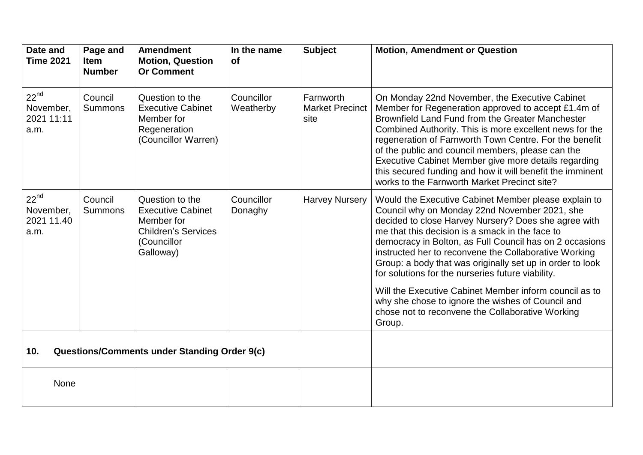| Date and<br><b>Time 2021</b>                               | Page and<br><b>Item</b><br><b>Number</b> | <b>Amendment</b><br><b>Motion, Question</b><br><b>Or Comment</b>                                                    | In the name<br>of       | <b>Subject</b>                              | <b>Motion, Amendment or Question</b>                                                                                                                                                                                                                                                                                                                                                                                                                                                                     |
|------------------------------------------------------------|------------------------------------------|---------------------------------------------------------------------------------------------------------------------|-------------------------|---------------------------------------------|----------------------------------------------------------------------------------------------------------------------------------------------------------------------------------------------------------------------------------------------------------------------------------------------------------------------------------------------------------------------------------------------------------------------------------------------------------------------------------------------------------|
| $22^{nd}$<br>November,<br>2021 11:11<br>a.m.               | Council<br>Summons                       | Question to the<br><b>Executive Cabinet</b><br>Member for<br>Regeneration<br>(Councillor Warren)                    | Councillor<br>Weatherby | Farnworth<br><b>Market Precinct</b><br>site | On Monday 22nd November, the Executive Cabinet<br>Member for Regeneration approved to accept £1.4m of<br>Brownfield Land Fund from the Greater Manchester<br>Combined Authority. This is more excellent news for the<br>regeneration of Farnworth Town Centre. For the benefit<br>of the public and council members, please can the<br>Executive Cabinet Member give more details regarding<br>this secured funding and how it will benefit the imminent<br>works to the Farnworth Market Precinct site? |
| $22^{nd}$<br>November,<br>2021 11.40<br>a.m.               | Council<br><b>Summons</b>                | Question to the<br><b>Executive Cabinet</b><br>Member for<br><b>Children's Services</b><br>(Councillor<br>Galloway) | Councillor<br>Donaghy   | <b>Harvey Nursery</b>                       | Would the Executive Cabinet Member please explain to<br>Council why on Monday 22nd November 2021, she<br>decided to close Harvey Nursery? Does she agree with<br>me that this decision is a smack in the face to<br>democracy in Bolton, as Full Council has on 2 occasions<br>instructed her to reconvene the Collaborative Working<br>Group: a body that was originally set up in order to look<br>for solutions for the nurseries future viability.                                                   |
|                                                            |                                          |                                                                                                                     |                         |                                             | Will the Executive Cabinet Member inform council as to<br>why she chose to ignore the wishes of Council and<br>chose not to reconvene the Collaborative Working<br>Group.                                                                                                                                                                                                                                                                                                                                |
| <b>Questions/Comments under Standing Order 9(c)</b><br>10. |                                          |                                                                                                                     |                         |                                             |                                                                                                                                                                                                                                                                                                                                                                                                                                                                                                          |
| None                                                       |                                          |                                                                                                                     |                         |                                             |                                                                                                                                                                                                                                                                                                                                                                                                                                                                                                          |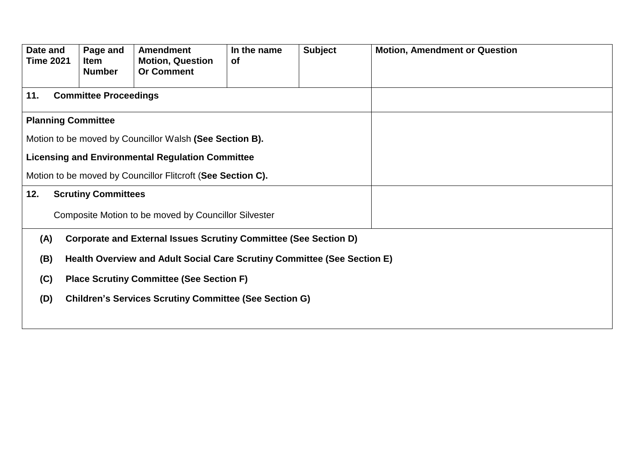| Date and<br><b>Time 2021</b> | Page and<br><b>Item</b><br><b>Number</b> | <b>Amendment</b><br><b>Motion, Question</b><br><b>Or Comment</b>         | In the name<br><b>of</b> | <b>Subject</b> | <b>Motion, Amendment or Question</b> |
|------------------------------|------------------------------------------|--------------------------------------------------------------------------|--------------------------|----------------|--------------------------------------|
|                              |                                          |                                                                          |                          |                |                                      |
| 11.                          | <b>Committee Proceedings</b>             |                                                                          |                          |                |                                      |
|                              | <b>Planning Committee</b>                |                                                                          |                          |                |                                      |
|                              |                                          | Motion to be moved by Councillor Walsh (See Section B).                  |                          |                |                                      |
|                              |                                          | <b>Licensing and Environmental Regulation Committee</b>                  |                          |                |                                      |
|                              |                                          | Motion to be moved by Councillor Flitcroft (See Section C).              |                          |                |                                      |
| 12.                          | <b>Scrutiny Committees</b>               |                                                                          |                          |                |                                      |
|                              |                                          | Composite Motion to be moved by Councillor Silvester                     |                          |                |                                      |
| (A)                          |                                          | Corporate and External Issues Scrutiny Committee (See Section D)         |                          |                |                                      |
| (B)                          |                                          | Health Overview and Adult Social Care Scrutiny Committee (See Section E) |                          |                |                                      |
| (C)                          |                                          | <b>Place Scrutiny Committee (See Section F)</b>                          |                          |                |                                      |
| (D)                          |                                          | <b>Children's Services Scrutiny Committee (See Section G)</b>            |                          |                |                                      |
|                              |                                          |                                                                          |                          |                |                                      |